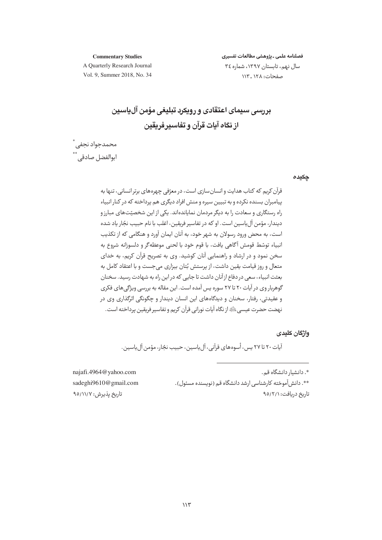فصلنامه علمي ـ يژوهشي مطالعات تفسيري

**Commentary Studies** A Quarterly Research Journal Vol. 9, Summer 2018, No. 34

سال نهم، تابستان ١٣٩٧، شماره ٣٤ صفحات: ١٢٨ ـ ١١٣

<u>بررسی سیمای اعتقادی و رویکرد تبلیغی مؤمن آلیاسین</u> از نگاه آيات قرآن و تفاسير فريقين

محمدجواد نجفى ٌ<br>ابوالفضل صادقى ٌ ٌ

چکیدہ

قرآن کریم که کتاب هدایت و انسان سازی است، در معرّفی چهرههای برتر انسانی، تنها به پیامبران بسنده نکرده و به تبیین سیره و منش افراد دیگری هم پرداخته که در کنار انبیاء راه رستگاری و سعادت را به دیگر مردمان نمایاندهاند. یکی از این شخصیّتهای مبارزو ديندار، مؤمن آل ياسين است. او كه در تفاسير فريقين، اغلب با نام حبيب نجّار ياد شده است، به محض ورود رسولان به شهر خود، به آنان ایمان آورد و هنگامی که از تکذیب انبياء توسّط قومش آگاهي يافت، با قوم خود با لحني موعظه گر و دلسوزانه شروع به سخن نمود و در ارشاد و راهنمایی آنان کوشید. وی به تصریح قرآن کریم، به خدای متعال و روز قیامت یقین داشت، از پرستش بُتان بیزاری میجست و با اعتقاد کامل به بعثت انبیاء، سعی در دفاع از آنان داشت تا جایی که در این راه به شهادت رسید. سخنان گوهربار وي در آيات ٢٠ تا ٢٧ سوره پس آمده است. اين مقاله به بررسي ويژگي هاي فكري و عقيدتي، رفتار، سخنان و ديدگاههاي اين انسان ديندار و حگونگي اثرگذاري وي در نهضت حضرت عيسى ﷺ إز نگاه آيات نوراني قرآن كريم و تفاسير فريقين پرداخته است.

#### واژگان کلیدی

آيات ٢٠ تا ٢٧ پس، أسوههاي قرآني، آل ياسين، حـىب نحّار، مؤمن آل باسـبن.

\*. دانشیار دانشگاه قم. \*\*. دانش آموخته کارشناسی ارشد دانشگاه ق<u>م</u> (نویسنده مسئول). تاریخ دریافت: ۹۵/۲/۱

najafi.4964@yahoo.com sadeghi9610@gmail.com تاريخ يذيرش: ٩٥/١١/٧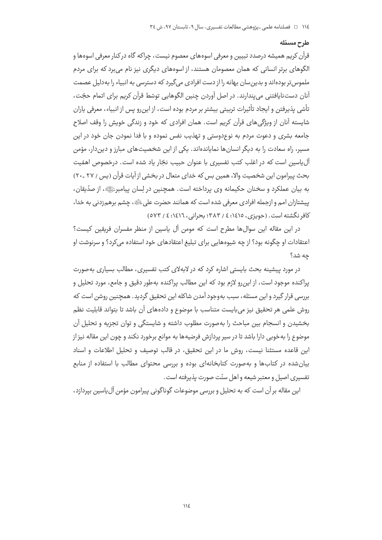#### طرح مسئله

قرآن کريم هميشه درصدد تبيين و معرفي اسوههاي معصوم نيست، چراکه گاه در کنار معرفي اسوهها و الگوهای برتر انسانی که همان معصومان هستند، از اسوههای دیگری نیز نام می برد که برای مردم ملموس تر بودهاند و بدین سان بهانه را از دست افرادی می گیرد که دسترسی به انبیاء را به دلیل عصمت آنان دست<code>نایافتنی</code> می پندارند. در اصل آوردن چنین الگوهایی توسّط قرآن کریم برای اتمام حجّت، تأسّى پذيرفتن و ايجاد تأثيرات تربيتي بيشتر بر مردم بوده است، از اين٫رو پس از انبياء، معرفي پاران شایسته آنان از ویژگی های قرآن کریم است. همان افرادی که خود و زندگی خویش را وقف اصلاح جامعه بشری و دعوت مردم به نوعِدوستی و تهذیب نفس نموده و با فدا نمودن جان خود در این مسد، راه سعادت را به دیگر انسان ها نمایاندهاند. یکی از این شخصیتهای مبارز و دین دار، مؤمن آل یاسین است که در اغلب کتب تفسیری با عنوان حبیب نجّار یاد شده است. درخصوص اهمّیت بحث پیرامون این شخصیت والا، همین بس که خدای متعال در بخشی از آیات قرآن (پس / ۲۷ ـ۲۰) به بيان عملكرد و سخنان حكيمانه وي پرداخته است. همچنين در لِسان پيامبرﷺ، از صدّيقان، پیشتازان امم و ازجمله افرادی معرفی شده است که همانند حضرت علی ﷺ، چشم برهمزدنی به خدا، کافر نگشته است. (جویزی، ۱٤١٥: ٤ / ۳۸۳؛ بحرانی، ١٤١٦: ٤ / ٥٧٣)

در این مقاله این سوالها مطرح است که مومن آل پاسین از منظر مفسران فریقین کیست؟ اعتقادات او چگونه بود؟ از چه شیوههایی برای تبلیغ اعتقادهای خود استفاده می کرد؟ و سرنوشت او چه شد؟

در مورد پیشینه بحث بایستی اشاره کرد که در لابهلای کتب تفسیری، مطالب بسیاری بهصورت یراکنده موجود است، از این٫رو لازم بود که این مطالب پراکنده بهطور دقیق و جامع، مورد تحلیل و بررسی قرار گیرد و این مسئله، سبب بهوجود آمدن شاکله این تحقیق گردید. همچنین روشن است که روش علمی هر تحقیق نیز میبایست متناسب با موضوع و دادههای آن باشد تا بتواند قابلیت نظم بخشيدن و انسجام بين مباحث را به صورت مطلوب داشته و شايستگي و توان تجزيه و تحليل آن موضوع را به خوبی دارا باشد تا در سیر پردازش فرضیهها به موانع برخورد نکند و چون این مقاله نیز از این قاعده مستثنا نیست، روش ما در این تحقیق، در قالب توصیف و تحلیل اطلاعات و اسناد بیان شده در کتابها و به صورت کتابخانهای بوده و بررسی محتوای مطالب با استفاده از منابع تفسیری اصیل و معتبر شیعه و اهل سنّت صورت پذیرفته است.

این مقاله بر آن است که به تحلیل و بررسی موضوعات گوناگونی پیرامون مؤمن آلeیاسین بیردازد،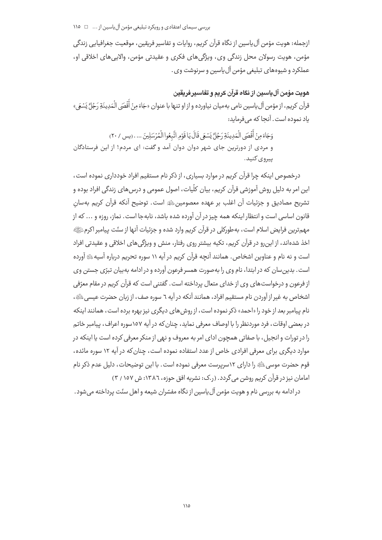ازجمله: هويت مؤمن آل ياسين از نگاه قرآن كريم، روايات و تفاسير فريقين، موقعيت جغرافيايي زندگي مؤمن، هويت رسولان محل زندگي وي، ويژگيهاي فكري و عقيدتي مؤمن، والايي هاي اخلاقي او، عملکرد و شیوههای تبلیغی مؤمن آل پاسین و سرنوشت وی .

# هوىت مؤمن آل ياسين از نكاه قرآن كريم و تفاسير فريقين

قرآن كريم، از مؤمن آل ياسين نامي بهميان نياورده و از او تنها با عنوان «جَاءَ مِنْ أَقْصَى الْمَدِينَةِ رَجُلَّ يَسْعَ » ىاد نموده است. آنجا كه مى فرمايد:

وَجَاءَ مِنْ أَقْصَى الْمَدِينَةِ رَجُلٌّ يَسْعَى قَالَ يَا قَوْمِ اتَّبِعُوا الْمُرْسَلِينَ ... . (يس / ٢٠) و مردی از دورترین جای شهر دوان دوان آمد و گفت: ای مردم! از این فرستادگان پيروي کنيد.

درخصوص اینکه چرا قرآن کریم در موارد بسیاری، از ذکر نام مستقیم افراد خودداری نموده است، این امر به دلیل روش آموزشی قرآن کریم، بیان کلّیات، اصول عمومی و درس های زندگی افراد بوده و تشريح مصاديق و جزئيات آن اغلب بر عهده معصومين ﷺ است. توضيح آنكه قرآن كريم بهسان قانون اساسی است و انتظار اینکه همه چیز در آن آورده شده باشد، نابهجا است. نماز، روزه و ... که از مهمترین فرایض اسلام است، به طورکلی در قرآن کریم وارد شده و جزئیات آنها از سنّت پیامبر اکرمﷺ اخذ شدهاند، از این٫رو در قرآن کریم، تکیه بیشتر روی رفتار، منش و ویژگی٫های اخلاقی و عقیدتی افراد است و نه نام و عناوین اشخاص . همانند آنحه قرآن کریم در آیه ۱۱ سوره تحریم درباره آسیهﷺ آورده است. بدین سان که در ابتدا، نام وی را بهصورت همسر فرعون آورده و در ادامه به بیان تبرّی جستن وی از فرعون و درخواست های وی از خدای متعال پرداخته است. گفتنی است که قرآن کریم در مقام معرّفی اشخاص به غیر از آوردن نام مستقیم افراد، همانند آنکه در آیه ٦ سوره صف، از زبان حضرت عیسی ﷺ، نام پیامبر بعد از خود را «احمد» ذکر نموده است، از روش های دیگری نیز بهره برده است، همانند اینکه در بعضی اوقات، فرد موردنظر را با اوصاف معرفی نماید، چنان که در آیه ۱۵۷سوره اعراف، پیامبر خاتم را در تورات و انجیل، با صفاتی همچون ادای امر به معروف و نهی از منکر معرفی کرده است یا اینکه در موارد دیگری برای معرفی افرادی خاص از عدد استفاده نموده است، چنان که در آیه ۱۲ سوره مائده، قوم حضرت موسى ﷺ را داراي ١٢سرپرست معرفي نموده است. با اين توضيحات، دليل عدم ذكر نام امامان نیز در قرآن کریم روشن می گردد. (ر.ک: نشریه افق حوزه، ١٣٨٦: ش ١٥٧ / ٣)

در ادامه به بررسی نام و هویت مؤمن آل پاسین از نگاه مفسّران شیعه و اهل سنّت پرداخته می شود.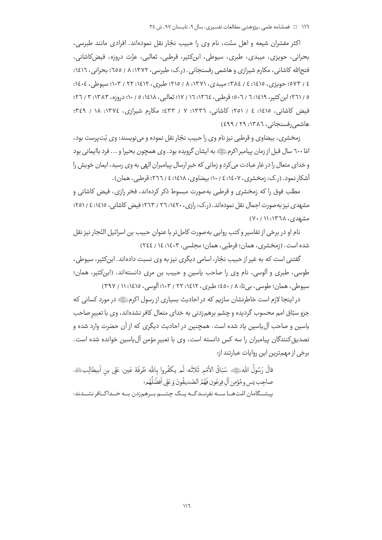اکثر مفسّران شیعه و اهل سنّت، نام وی را حبیب نجّار نقل نمودهاند. افرادی مانند طبرسی، بحراني، حويزي، ميبدي، طبري، سيوطى، ابن&ثير، قرطبي، ثعالبي، عزّت دروزه، فيضكاشاني، فتح|لله کاشانی، مکارم شیرازی و هاشمی رفسنجانی . (ر.ک: طبرسی، ۱۳۷۲: ۸ / ٦٥٥؛ بحرانی، ١٤١٦: ٤ / ٥٧٣؛ حويزي، ١٤١٥؛ ٤ / ٣٨٤؛ مييدي، ١٣٧١: ٨ / ٢١٥؛ طبري، ١٤١٢؛ ٢٢ / ١٠٣؛ سبوطي، ١٤٠٤: ٥ / ٢٦١؛ اين كثير، ١٤١٩: ٦ / ٥٠٦: قوطير، ١٣٦٤: ١٦ / ١٧: ثعالير، ١٤١٨: ٥ / ١٠: دروزه، ١٣٨٣: ٣ / ٢٦: فیض کاشانی، ۱٤١٥: ٤ / ٢٥١؛ کاشانی، ١٣٣٦: ٧ / ٤٣٣؛ مکارم شیرازی، ١٣٧٤: ١٨ / ٣٤٩؛ هاشمی رفسنجانی ، ۱۳۸٦: ۲۹ / ٤٩٩)

زمخشري، بيضاوي و قرطبي نيز نام وي را حبيب نجّار نقل نموده و مي نويسند: وي بُت پرست بود، امّا ٦٠٠ سال قبل از زمان پیامبر اکرمﷺ به ایشان گرویده بود. وی همچون بحیرا و ... فرد باایمانی بود و خدای متعال را در غار عبادت می کرد و زمانی که خبر ارسال پیامبران الهی به وی رسید، ایمان خویش را آشکار نمود. (ر.ک: زمخشری، ۱٤٠٧: ١٤ / ١٠؛ بیضاوی، ١٤١٨: ٤ / ٢٦٦؛ قرطبی، همان).

مطلب فوق را که زمخشری و قرطبی بهصورت مبسوط ذکر کردهاند، فخر رازی، فیض کاشانی و مشهدی نیز به صورت اجمال نقل نمودهاند. (ر.ک: رازی، ۱٤۲۰: ۲٦ / ۲٦۳؛ فیض کاشانی، ۱٤١٥؛ ٤ / ۲٥١؛ مشهدی، ۱۳٦۸: ۰/ ۷۰)

نام او در برخی از تفاسیر و کتب روایی به صورت کاملتر با عنوان حبیب بن اسرائیل النّجار نیز نقل شده است. (زمخشري، همان؛ قرطبي، همان؛ مجلسي، ١٤٠٣: ١٤ / ٢٤٤)

گفتنی است که به غیر از حبیب نجّار، اسامی دیگری نیز به وی نسبت دادهاند. ابن کثیر، سپوطی، طوسی، طبری و آلوسی، نام وی را صاحب یاسین و حبیب بن مری دانستهاند. (ابن کثیر، همان؛ سیوطی، همان؛ طوسی، بے تا: ۸ / ٤٥٠؛ طبری، ١٤١٢: ٢٢ / ١٠٣؛ آلوسی، ١٤١٥: ١١ / ٣٩٧)

در اینجا لازم است خاطرنشان سازیم که در احادیث بسیاری از رسول اکرمﷺ در مورد کسانی که جزو سبّاق امم محسوب گردیده و چشم برهم;دنی به خدای متعال کافر نشدهاند، وی با تعبیر صاحب پاسین و صاحب آل پاسین یاد شده است. همچنین در احادیث دیگری که از آن حضرت وارد شده و تصدیق کنندگان پیامبران را سه کس دانسته است، وی با تعبیر مؤمن آلeیاسین خوانده شده است. برخي از مهم ترين اين روايات عبارتند از:

قالَ رَسُولُ اللهﷺ: سُبّاقُ الأُمَمِ ثَلاثَه: لَم يكفُروا بِاللَّه طَرفَة عَين: عَلى بن اَبِيطالِبِ، م صاحِب يس و مُؤمِن آل فِرعَون فَهُمُر الصّديقُونَ وَ عَلى أفضَلُهُم؛ پیشــگامان امّتھــا ســه نفرنــدكــه پــک چشــم بــرهم;دن بــه خــداكــافر نشــدند: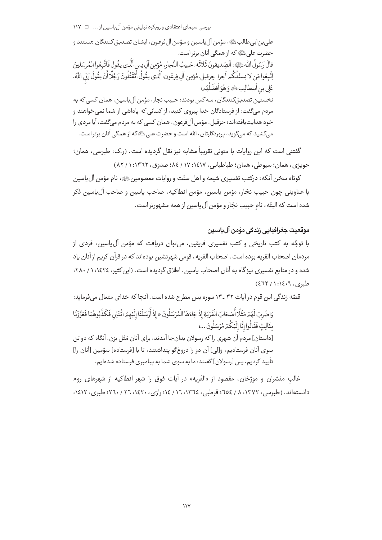بررسی سیمای اعتقادی و رویکرد تبلیغی مؤمن آل یاسین از ... □ ١١٧

علي بن|بي طالبﷺ، مؤمن آل ياسين و مؤمن آل فرعون، ايشان تصديق كنندگان هستند و حضرت على ﷺ كه از همگي آنان پرتر است. قالَ رَسُولُ اللهُ عَلَيَّةِ: اَلصِّديقونَ ثَلاثَه: حَبِيبُ النَّجارِ، مُؤمِن آل يس اَلَّذي يقُول فَاتَّبعُوا المُرسَلينَ إتَّبِعُوا مَن لا يسئَلُكُم اَجرا، حِزقيل، مُؤمِن آلِ فِرعَون؛ الَّذي يقُولُ أَتَقْتُلُونَ رَجُلًا أَنْ يقُولَ رَبِّي اللَّهَ، عَلَى بن أبيطالِبِﷺ وَ هُوَ أَفضَلُهُمِ؛ نخستين تصديق كنندگان، سه كس بودند: حبيب نجار، مؤمن آل ياسين، همان كسي كه به مردم مے گفت: از فرستادگان خدا پیروی کنید، از کسانی که پاداشی از شما نمی خواهند و خود هدایت یافتهاند؛ حزقیل، مؤمن آلفرعون، همان کسی که به مردم میگفت: آیا مردی را میکشید که میگوید، پروردگارتان، الله است و حضرت علی ﷺ که از همگی آنان برتر است.

گفتنی است که این روایات با متونی تقریباً مشابه نیز نقل گردیده است. (ر.ک: طبرسی، همان؛ حويزي، همان؛ سيوطى، همان؛ طباطبايي، ١٤١٧: ١٧ / ٨٤؛ صدوق، ١٣٦٢: ١ / ٨٢)

كوتاه سخن آنكه: دركتب تفسيري شيعه و اهل سنّت و روايات معصومين ﷺ، نام مؤمن آل ياسين با عناويني چون حبيب نجّار، مؤمن ياسين، مؤمن انطاكيه، صاحب ياسين و صاحب آلµسين ذكر شده است كه البتّه، نام حبيب نجّار و مؤمن آل ياسين از همه مشهورتر است .

# موقعىت حغرافىاىي زندگى مؤمن آل باسىن

با توجّه به کتب تاریخی و کتب تفسیری فریقین، میتوان دریافت که مؤمن آلuیاسین، فردی از مردمان اصحاب القريه بوده است . اصحاب القريه ، قومي شهرنشين بودهاند كه در قرآن كريم از آنان ياد شده و در منابع تفسیری نیز گاه به آنان اصحاب پاسین، اطلاق گردیده است. (این کثیر، ۱٤٢٤: ۱ / ۲۸۰؛  $d_{4,2,3}$ ,  $P.3(11)$  (27۲)

قصّه زندگی این قوم در آیات ۳۲ ـ ۱۳ سوره پس مطرح شده است. آنجا که خدای متعال میفرماید:

وَاضْرِبْ لَهُمْ مَثَلًا أَصْحَابَ الْقَرْيَةِ إِذْ جَاءَهَا الْمُرْسَلُونَ \* إِذْ أَرْسَلْنَا إِلَيْهِمُ اثْنَيْنِ فَكَذَّبُوهُمَا فَعَزَّزْنَا بِثَالِثٍ فَقَالُوا إِنَّا إِلَيْكُمْ مُرْسَلُونَ ...؛ [داستان] مردم آن شهری را که رسولان بدان جا آمدند، برای آنان مَثَل بزن. آنگاه که دو تن سوى آنان فرستاديم، و[لي] آن دو را دروغ5َو ينداشتند، تا با [فرستاده] سوّمين [آنان را] تأييد كرديم، پس [رسولان] گفتند: ما به سوي شما به پيامبري فرستاده شدهايم.

غالب مفسّران و مورّخان، مقصود از «القَریه» در آیات فوق را شهر انطاکیه از شهرهای روم دانستهاند. (طبرسی، ۱۳۷۲: ۸ / ۱۵٤؛ قرطبی، ١٣٦٤: ١٦ / ١٤٤؛ رازی، ١٤٢٠: ٢٦ / ٢٦٠؛ طبری، ١٤١٢: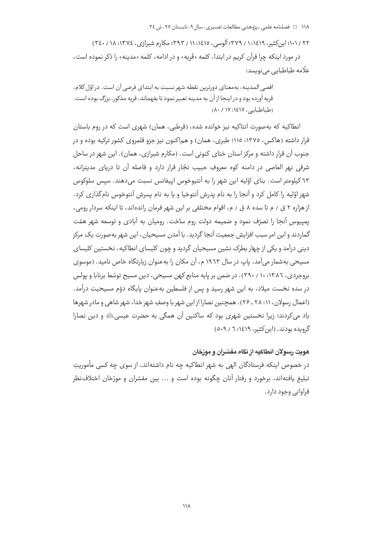۲۲ / ۱۰۱؛ ابن کثیر، ۱۶۱۹؛ ۱ / ۳۷۹؛ آلوسی، ۱۱:۱۷ / ۳۹۳؛ مکارم شیرازی، ۱۳۷۶؛ ۱۸ / ۳٤۰) در مورد اینکه چرا قرآن کریم در ابتدا، کلمه «قَریه» و در ادامه، کلمه «مدینه» را ذکر نموده اس*ت*، علّامه طباطباي*ى مى*نويسد:

اقصے المدینه، بەمعنای دورترین نقطه شهر نسبت به ابتدای فرضے آن است. در اوّل کلام، قریه آورده بود و در اینجا از آن به مدینه تعبیر نمود تا بفهماند، قریه مذکور، بزرگ بوده است. (طباطیایه)، ۱٤١٧: ۸۰/ ۸۰)

انطاکیه که بهصورت انتاکیه نیز خوانده شده، (قرطبی، همان) شهری است که در روم باستان قرار داشته (هاکس، ۱۳۷۵: ۱۱۵؛ طبری، همان) و هماکنون نیز جزو قلمروی کشور ترکیه بوده و در جنوب آن قرار داشته و مرکز استان ختای کنونی است. (مکارم شیرازی، همان). این شهر در ساحل شرقي نهر العاصي در دامنه كوه معروفٍ حبيبٍ نجّارٍ قرارٍ داردٍ و فاصله آن تا درياي مديترانه، ٦٣ کيلومتر است. بناي اوّليه اين شهر را به آنتيوخوس اييفانس نسبت مي دهند. سيس سلوکوس شهر اوّلیه را کامل کرد و آنجا را به نام پدرش آنتوخیا و یا به نام پسرش آنتوخوس نام گذاری کرد. از هزاره ۲ ق / م تا سده ۸ ق / م، اقوام مختلفی بر این شهر فرمان راندهاند، تا اینکه سردار رومی، یمپیوس آنجا را تصرّف نمود و ضمیمه دولت روم ساخت. رومیان به آبادی و توسعه شهر همّت گماردند و این امر سبب افزایش جمعیت آنجا گردید. با آمدن مسیحیان، این شهر بهصورت یک مرکز دینی درآمد و یکی از چهار بطرک نشین مسیحیان گردید و چون کلیسای انطاکیه ، نخستین کلیسای مسیحی بهشمار میآمد، پاپ در سال ۱۹٦۳ م، آن مکان را بهعنوان زیارتگاه خاص نامید. (موسوی بروجردی، ١٣٨٦: ٢٩٠ / ٣٩٠). در صمن بر پايه منابع کهن مسيحي، دين مسيح توسّط برنابا و پولس در سده نخست میلاد، به این شهر رسید و پس از فلسطین بهعنوان پایگاه دوّم مسیحیت درآمد. (اعمال رسولان، ۲۱۱ ـ ۲۶) . همچنین نصارا از این شهر با وصفِ شهر خدا، شهر شاهی و مادر شهرها ياد مي كردند؛ زيرا نخستين شهري بود كه ساكنين آن همگي به حضرت عيسى ﷺ و دين نصارا گرویده بودند. (این کثیر، ۱٤١٩: ٦ / ٥٠٩)

# هویت رسولان انطاکیه از نگاه مفسّران و مورّخان

در خصوص اینکه فرستادگان الهی به شهر انطاکیه چه نام داشتهاند، از سوی چه کسی مأموریتِ تبلیغ یافتهاند، برخورد و رفتار آنان چگونه بوده است و ... بین مفسّران و مورّخان اختلاف:نظر فراوانی وجود دارد.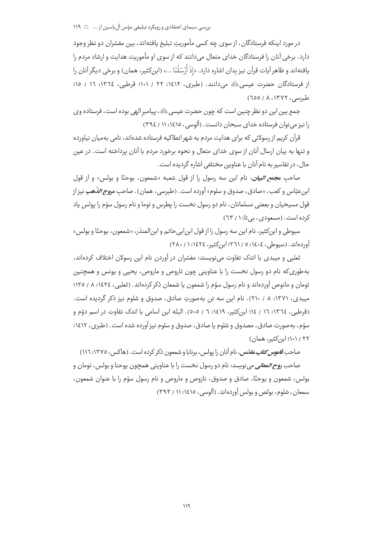در مورد اینکه فرستادگان، از سوی چه کسی مأموریتِ تبلیغ یافتهاند، بین مفسّران دو نظر وجود دارد. برخی آنان را فرستادگان خدای متعال می دانند که از سوی او مأموریت هدایت و ارشاد مردم را يافته|ند و ظاهر آيات قرآن نيز بدان اشاره دارد. «إذْ أَرْسَلْنَا ...» (ابن َكثير، همان) و برخي ديگر آنان را از فرستادگان حضرت عیسی، ﷺ می دانند. (طبری، ۱۶۱۲: ۲۲ / ۱۰۱: قرطبی، ١٣٦٤: ١٦ / ١٥؛  $(700/\lambda,17YY,0)$ طبرسی، ۱۳۷۲

جمع بين اين دو نظر چنين است كه چون حضرت عيسى ﷺ، پيامبر الهي بوده است، فرستاده وي را نیز می توان فرستاده خدای سبحان دانست. (آلوسی، ١٤١٥: ١١ / ٣٩٤)

قرآن کریم از رسولانی که برای هدایت مردم به شهر انطاکیه فرستاده شدهاند، نامی بهمیان نیاورده و تنها به بیان ارسال آنان از سوی خدای متعال و نحوه برخورد مردم با آنان پرداخته است. در عین حال، در تفاسیر به نام آنان با عناوین مختلفی اشاره گردیده است.

صاحب مجم*ع البيان*، نام اين سه رسول را از قول شعبه «شمعون، يوحنّا و بولس» و از قول ابن *ع*بّاس و كعب، «صادق، صدوق و سلوم» آورده است. (طبرسي، همان). صاحب م*روج الذّهب* نيز از قول مسیحیان و بعضی مسلمانان، نام دو رسول نخست را یطرس و توما و نام رسول سوّم را یولس یاد کرده است. (مسعودی، بی تا: ۱ / ٦٣)

سیوطی و ابن کثیر، نام این سه رسول را از قول ابن!بی حاتم و ابن|لمنذر، «شمعون، یوحنّا و بولس» آورده اند. (بسوطر، ١٤٠٤: ٥ / ٢٦١؛ ابن کثیر، ١٤٢٤: ١ / ٢٨٠)

ثعلبی و میبدی با اندک تفاوت می نویسند: مفسّران در آوردن نام این رسولان اختلاف کردهاند، بهطوري كه نام دو رسول نخست را با عناويني چون تاروص و ماروص، يحيى و پونس و همچنين تومان و مانوص آوردهاند و نام رسول سوّم را شمعون یا شمعان ذکر کردهاند. (ثعلبی، ١٤٢٤: ٨ / ١٢٥؛ میبدی، ۱۳۷۱: ۸ / ۲۱۰). نام این سه تن بهصورتِ صادق، صدوق و شلوم نیز ذکر گردیده است. (قرطبي، ١٣٦٤: ١٦ / ١٤؛ ابن كثير، ١٤١٩: ٦ / ٥٠٥). البتّه اين اسامي با اندك تفاوت در اسم دوّم و سوّم، بهصورت صادق، مصدوق و شلوم یا صادق، صدوق و سلوم نیز آورده شده است. (طبری، ۱۶۱۲: ۲۲ / ۱۰۱؛ ابن کثیر، همان)

صاحب *قاموس کتاب مقدّس*، نام آنان را پولس، برنابا و شمعون ذکر کرده است . (هاکس، ۱۳۷۵: ۱۱٦) صاحب *روح المعاني مي* نويسد: نام دو رسول نخست را با عناويني همچون يوحنا و بولس، تومان و بولس، شمعون و يوحنّا، صادق و صدوق، نازوص و ماروص و نام رسول سوّم را با عنوان شمعون، سمعان، شلوم، بولص و بولس آوردهاند. (آلوسی، ۱۶۱۵: ۱۱ / ۳۹۳)

 $119$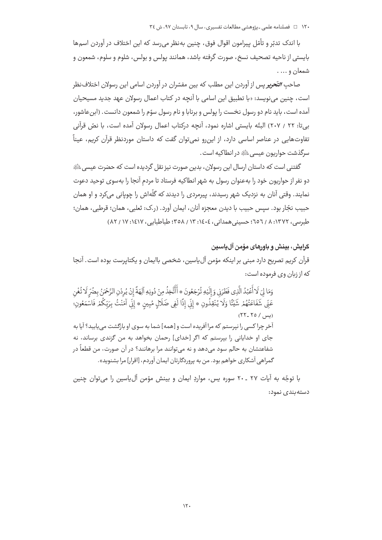۱۲۰ □ فصلنامه علمی ـ یژوهشی مطالعات تفسیری، سال ۹، تابستان ۹۷، ش ٣٤

با اندک تدبّر و تأمّل پیرامون اقوال فوق، چنین بهنظر می٫رسد که این اختلاف در آوردن اسمها بايستي از ناحيه تصحيف نسخ، صورت گرفته باشد، همانند يولس و بولس، شلوم و سلوم، شمعون و شمعان و ... .

صاحب *التّحوي*ر پس از آوردن اين مطلب كه بين مفسّران در آوردن اسامي اين رسولان اختلاف نظر است، چنین می نویسد: «با تطبیق این اسامی با آنچه در کتاب اعمال رسولان عهد جدید مسیحیان آمده است، بايد نام دو رسول نخست را يولس و برنابا و نام رسول سوّم را شمعون دانست. (ابن عاشور، بے تا: ٢٢ / ٢٠٧) البتّه بایستی اشاره نمود، آنچه درکتاب اعمال رسولان آمده است، با نصّ قرآنی تفاوتهایی در عناصر اساسی دارد، از این٫و نمیتوان گفت که داستان موردنظر قرآن کریم، عیناً سرگذشت حواريون عيسى ﷺ در انطاكيه است .

گفتنی است که داستان ارسال این رسولان، بدین صورت نیز نقل گردیده است که حضرت عیسے ،ﷺ دو نفر از حواریون خود را بهعنوان رسول به شهر انطاکیه فرستاد تا مردم آنجا را بهسوی توحید دعوت نمایند. وقتی آنان به نزدیک شهر رسیدند، پیرمردی را دیدند که گلّهاش را چوپانی میکرد و او همان حبيب نجّار بود. سيس حبيب با ديدن معجزه آنان، ايمان آورد. (ر.ک: ثعلبي، همان؛ قرطبي، همان؛ طبريس، ١٣٧٢: ٨ / ٦٥٦؛ حسبني همداني، ١٤٠٤: ١٣ / ٣٥٨، طباطيابي، ١٤١٧: ١٧ / ٨٢)

## گرایش، بینش و باورهای مؤمن آل یاسین

قرآن کریم تصریح دارد مبنی بر اینکه مؤمن آلLیاسین، شخصی باایمان و یکتاپرست بوده است. آنجا كه از زبان وى فرموده است:

وَمَا لِيَ لَا أَعْبُدُ الَّذِي فَطَرَنِي وَإِلَيْهِ تُرْجَعُونَ \* أَأَتَّخِذُ مِنْ دُونِهِ الِهَةً إِنْ يُرِدْنِ الرَّحْمَنُ بِضُرٍّ لَا تُغْنِ عَنِّي َشَفَاعَتُهُمْ شَيْئًا وَلَا يُنْقِذُونِ ۞ إِنِّي إِذًا لَفِي ضَلَالٍ مُبِينِ ۞ إِنِّي آمَنْتُ بِرَبِّكُمْ فَاسْمَعُونِ؛  $(55 - 50)$  (um) آخر چرا کسی را نیرستم که مرا آفریده است و [همه] شما به سوی او بازگشت می پایید؟ آیا به جای او خدایانی را بیرستم که اگر [خدای] رحمان بخواهد به من گزندی برساند، نه شفاعتشان به حالم سود می،دهد و نه می،توانند مرا برهانند؟ در آن صورت، من قطعاً در گمراهي آشكاري خواهم بود. من به پروردگارتان ايمان آوردم، [اقرار] مرا بشنويد».

با توجّه به آيات ٢٧ ـ ٢٠ سوره پس، مواردِ ايمان و بينش مؤمن آلuاسين را مي توان چنين دسته بندی نمود: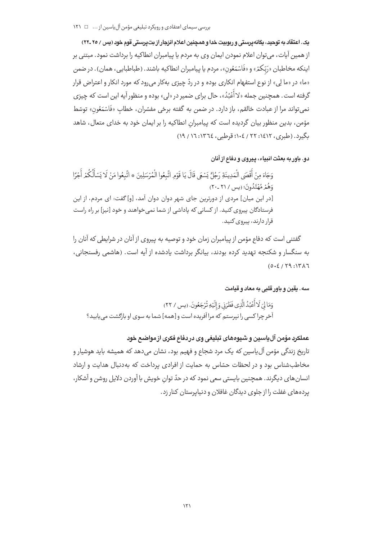بررسی سیمای اعتقادی و رویکرد تبلیغی مؤمن آل پاسین از ... □ ١٢١

یک. اعتقاد به توحید، یگانهپرستی و ربوبیت خدا و همچنین اعلام انزجار از بت پرستی قوم خود (پس / ۲۰ ـ۲۲) از همین آیات، می توان اعلام نمودن ایمان وی به مردم یا پیامبران انطاکیه را برداشت نمود. مبتنی بر اينكه مخاطبان «رَبِّكمْ» و «فَاسْمَعُون»، مردم يا پيامبران انطاكيه باشند. (طباطبايي، همان). در ضمن «ما» در «ما لِي» از نوع استفهام انکاری بوده و در ردّ چیزی بهکار می رود که مورد انکار و اعتراض قرار گرفته است. همچنین جمله «لا أَعُبُدُ»، حال برای ضمیر در «لی» بوده و منظور آیه این است که چیزی نمي تواند مرا از عبادت خالقم، باز دارد. در ضمن به گفته برخي مفسّران، خطاب «فَاسْمَعُون» توسّط مؤمن، بدین منظور بیان گردیده است که پیامبران انطاکیه را بر ایمان خود به خدای متعال، شاهد بگیرد. (طبری، ۱۶۱۲: ۲۲ / ۱۰٤: ۵۹) قرطبی، ١٣٦٤: ١٦ / ١٩)

دو. باور به بعثت انبیاء، ییروی و دفاع از آنان

وَجَاءَ مِنْ أَقْصَى الْمَدِينَةِ رَجُلٌ يَسْعَى قَالَ يَا قَوْمِ اتَّبِعُوا الْمُرْسَلِينَ \* اتَّبِعُوا مَنْ لَا يَسْأَلُكُمْ أَجْرًا وَهُمْ مُهْتَدُونَ؛ (پس / ۲۱ -۲۰) [در این میان] مردی از دورترین جای شهر دوان دوان آمد، [و] گفت: ای مردم، از این فرستادگان پیروی کنید. از کسانی که پاداشی از شما نمی خواهند و خود [نیز] بر راه راست قرار دارند، پیروی کنید.

گفتنی است که دفاع مؤمن از پیامبران زمان خود و توصیه به پیروی از آنان در شرایطی که آنان را به سنگسار و شکنجه تهدید کرده بودند، بیانگر برداشت یادشده از آیه است. (هاشمی رفسنجانی،  $(0.2/19.14)$ 

سه. يقين و باورقلبي به معاد و قيامت

وَمَا لِيَ لَا أَعْبُدُ الَّذِي فَطَرَنِي وَ إِلَيْهِ تُرْجَعُونَ. (يس / ٢٢) آخر چرا کسی را نپرستم که مرا آفریده است و [همه] شما به سوی او بازگشت می یابید؟

عملکرد مؤمن آل پاسین و شیوههای تبلیغی وی در دفاع فکری از مواضع خود ۔<br>تاریخ زندگی مؤمن آلءاسین که یک مرد شجاع و فهیم بود، نشان میدهد که همیشه باید هوشیار و مخاطبشناس بود و در لحظات حسّاس به حمایت از افرادی پرداخت که بهدنبال هدایت و ارشاد انسان های دیگرند. همچنین بایستی سعی نمود که در حدّ توان خویش با آوردن دلایل روشن و آشکار، پردههای غفلت را از جلوی دیدگان غافلان و دنبایرستان کنار زد.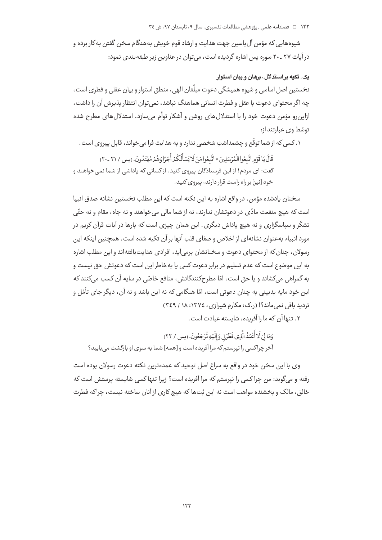۱۲۲ □ فصلنامه علمی ـ یژوهشی مطالعات تفسیری، سال ۹، تابستان ۹۷، ش ٣٤

شیوههایی که مؤمن آل یاسین جهت هدایت و ارشاد قوم خویش بههنگام سخن گفتن به کار برده و در آیات ۲۷ ـ۲۰ سوره پس اشاره گردیده است، می توان در عناوین زیر طبقه بندی نمود:

#### یک. تکیه بر استدلال، برهان و بیان استوار

نخستین اصل اساسی و شیوه همیشگی دعوت مبلّغان الهی، منطق استوار و بیان عقلی و فطری است، چه اگر محتوای دعوت با عقل و فطرت انسانی هماهنگ نباشد، نمی توان انتظار پذیرش آن را داشت، ازاین٫رو مؤمن دعوت خود را با استدلالهای روشن و آشکار توأم می،سازد. استدلالهای مطرح شده توسّط وي عبارتند از:

۰. کسی که از شما توقّع و چشمداشتِ شخصی ندارد و به هدایت فرا می خواند، قابل پیروی است .

قَالَ يَا قَوْمِ اتَّبِعُوا الْمُرْسَلِينَ \* اتَّبِعُوا مَنْ لَا يَسْأَلُكُمْ أَجْرًا وَهُمْ مُهْتَدُونَ. (بس / ٢١ -٢٠) گفت: ای مردم! از این فرستادگان پیروی کنید. از کسانی که پاداشی از شما نمی خواهند و خود [نیز] بر راه راست قرار دارند، پیروی کنید.

سخنان يادشده مؤمن، در واقع اشاره به اين نكته است كه اين مطلب نخستين نشانه صدق انبيا است که هیچ منفعت مادّی در دعوتشان ندارند، نه از شما مالی می خواهند و نه جاه، مقام و نه حتّی تشکّر و سیاسگزاری و نه هیچ یاداش دیگری. این همان چیزی است که بارها در آیات قرآن کریم در مورد انبیاء بهعنوان نشانهای از اخلاص و صفای قلب آنها بر آن تکیه شده است. همچنین اینکه این رسولان، چنان که از محتوای دعوت و سخنانشان برمی آید، افرادی هدایت یافتهاند و این مطلب اشاره به این موضوع است که عدم تسلیم در برابر دعوت کسی یا بهخاطر این است که دعوتش حق نیست و به گمراهی می کشاند و یا حق است، امّا مطرحکنندگانش، منافع خاصّی در سایه آن کسب می کنند که این خود مایه بدبینی به چنان دعوتی است، امّا هنگامی که نه این باشد و نه آن، دیگر جای تأمّل و تردید باقی نمی ماند؟! (ر.ک: مکارم شیرازی، ١٣٧٤: ١٨ / ٣٤٩)

٢. تنها آن كه ما را آفريده، شايسته عبادت است.

وَمَا لِيَ لَاأَعْبُدُ الَّذِي فَطَرَنِي وَإِلَيْهِ تُرْجَعُونَ. (يس / ٢٢) آخر چراکسی را نیرستم که مرا آفریده است و [همه] شما به سوی او بازگشت می پابید؟

وی با این سخن خود در واقع به سراغ اصل توحید که عمدهترین نکته دعوت رسولان بوده است رفته و می گوید: من چرا کسی را نیرستم که مرا آفریده است؟ زیرا تنها کسی شایسته پرستش است که خالق، مالک و بخشنده مواهب است نه این بُتها که هیچ کاری از آنان ساخته نیست، چراکه فطرت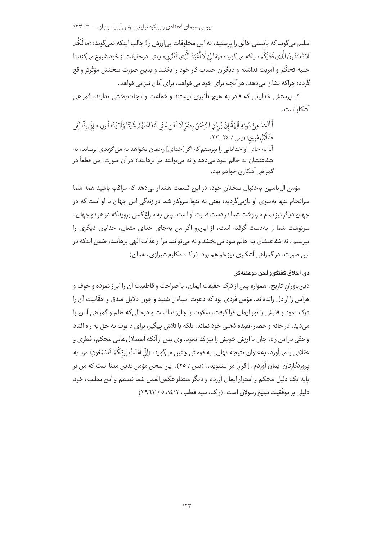سلیم میگوید که بایستی خالق را پرستید، نه این مخلوقات بی|رزش را! جالب اینکه نمیگوید: «مالَکُم لا تَعبُدُونَ الَّذي فَطَرَكُم» بلكه مي گويد: «وَمَا لِيَ لَا أَعْبُدُ الَّذِي فَطَرَنِ» يعني درحقيقت از خود شروع مي كند تا جنبه تحكّم و آمريت نداشته و ديگران حساب كار خود را بكنند و بدين صورت سخنش مؤثّرتر واقع گردد؛ چراکه نشان می دهد، هر آنچه برای خود می خواهد، برای آنان نیز می خواهد.

۳. پرستش خدایانی که قادر به هیچ تأثیری نیستند و شفاعت و نجات $\zeta$ بخشی ندارند، گمراهی آشکار است .

أَأَتَّخِذُ مِنْ دُونِهِ آلِهَةً إِنْ يُرِدْنِ الرَّحْمَنُ بِضُرِّ لَا تُغْنِ عَنِّي شَفَاعَتُهُمْ شَيْئًا وَلَا يُنْقِذُونِ \* إِنِّي إِذًا لَفِي ضَلَالٍ مُبِينٍ؛ (يس / ٢٤ ـ ٢٣) آیا به جای او خدایانی را بیرستم که اگر [خدای] رحمان بخواهد به من گزندی برساند، نه شفاعتشان به حالم سود می۵هد و نه می توانند مرا برهانند؟ در آن صورت، من قطعاً در گمراهی آشکاری خواهم بود.

مؤمن آلباسین بهدنبال سخنان خود، در این قسمت هشدار می دهد که مراقب باشید همه شما سرانجام تنها بهسوی او بازمیگردید؛ یعنی نه تنها سروکار شما در زندگی این جهان با او است که در جهان دیگر نیز تمام سرنوشت شما در دست قدرت او است . پس به سراغ کسی بروید که در هر دو جهان ، سرنوشت شما را به دست گرفته است، از این رو اگر من به جای خدای متعال، خدایان دیگری را بیرستم، نه شفاعتشان به حالم سود می بخشد و نه می توانند مرا از عذاب الهی برهانند، ضمن اینکه در این صورت، در گمراهی آشکاری نیز خواهم بود. (ر.ک: مکارم شیرازی، همان)

### دو. اخلاق كفتكو و لحن موعظه كر

دينباورانِ تاريخ، همواره پس از درک حقيقت ايمان، با صراحت و قاطعيت آن را ابراز نموده و خوف و هراس را از دل راندهاند. مؤمن فردی بود که دعوت انبیاء را شنید و چون دلایل صدق و حقّانیت آن را درک نمود و قلبش را نور ایمان فراگرفت، سکوت را جایز ندانست و درحالی که ظلم و گمراهی آنان را می دید، در خانه و حصار عقیده ذهنی خود نماند، بلکه با تلاش پیگیر، برای دعوت به حق به راه افتاد و حتّى در اين راه، جان با ارزش خويش را نيز فدا نمود. وي پس از آنكه استدلال هايي محكم، فطرى و عقلاني را ميآورد، بهعنوان نتيجه نهايي به قومش چنين ميگويد: «إنّي آمَنْتُ بِرَبّكُمْ فَاسْمَعُون؛ من به یروردگارتان ایمان آوردم. [اقرار] مرا بشنوید.» (پس / ٢٥). این سخن مؤمن بدین معنا است که من بر يايه يک دليل محکم و استوار ايمان آوردم و ديگر منتظر عکس|لعمل شما نيستم و اين مطلب، خود دلیلی بر موفَّقیت تبلیغ رسولان است. (, ک: سید قطب، ۱٤١٢: ٥ / ٢٩٦٣)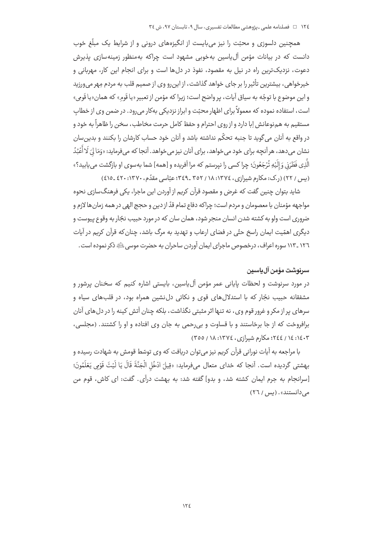همچنین دلسوزی و محبّت را نیز می،بایست از انگیزههای درونی و از شرایط یک مبلّغ خوب دانست که در بیانات مؤمن آلeیاسین بهخوبی مشهود است چراکه بهمنظور زمینهسازی پذیرش دعوت، نزدیکترین راه در نیل به مقصود، نفوذ در دل۱ها است و برای انجام این کار، مهربانی و .<br>خیرخواهی، بیشترین تأثیر را بر جای خواهد گذاش*ت*، از این رو وی از صمیم قلب به مردم مهر می ورزید و اين موضوع با توجّه به سياق آيات، پر واضح است؛ زيرا كه مؤمن از تعبير «يا قَوم» كه همان«يا قَومي» است، استفاده نموده که معمولاً برای اظهار محبّت و ابراز نزدیکی بهکار می رود. در ضمن وی از خطاب مستقيم به هم;نوعانش إبا دارد و از روى احترام و حفظ كامل حرمت مخاطب، سخن را ظاهراً به خود و در واقع به آنان می گوید تا جنبه تحکّم نداشته باشد و آنان خود حساب کارشان را بکنند و بدین سان نشان مي(دهد، هر آنچه براي خود مي خواهد، براي آنان نيز مي خواهد. آنجا كه مي فرمايد: «وَمَا لِيَ لَا أُعْبُدُ الَّذِي فَطَرَنِي وَإِلَيْهِ تُرْجَعُونَ؛ چرا کسی را نیرستم که مرا آفریده و [همه] شما بهسوی او بازگشت می یابید؟» (پس / ٢٢) (ر.ک: مکارم شیرازی، ١٣٧٤: ١٨ / ٣٥٢ ـ ٣٤٩؛ عبّاسی مقدّم، ١٣٧٠: ٤٢٠ ـ ٤١٥)

شاید بتوان چنین گفت که غرض و مقصود قرآن کریم از آوردن این ماجرا، یکی فرهنگ سازی نحوه مواجهه مؤمنان با معصومان و مردم است؛ چراکه دفاع تمام قدّ از دین و حجج الهی در همه زمان ها لازم و ضروری است ولو به کشته شدن انسان منجر شود، همان سان که در مورد حبیب نجّار به وقوع پیوست و دیگری اهمّیت ایمان راسخ حتّی در فضای ارعاب و تهدید به مرگ باشد، چنان که قرآن کریم در آیات ١٢٦ \_١١٣ سوره اعراف، درخصوص ماجراي ايمان آوردن ساحران به حضرت موسى ﷺ ذكر نموده است.

# سربوشت مؤمن آل ياسين

در مورد سرنوشت و لحظات پایانی عمر مؤمن آلuیاسین، بایستی اشاره کنیم که سخنان پرشور و مشفقانه حبیب نجّار که با استدلالهای قوی و نکاتی دلنشین همراه بود، در قلبهای سیاه و سرهای پر از مکر و غرور قوم وی، نه تنها اثر مثبتی نگذاشت، بلکه چنان آتش کینه را در دل های آنان برافروخت که از جا برخاستند و با قساوت و بی رحمی به جان وی افتاده و او را کشتند. (مجلسی، ١٤٠٣: ١٤ / ٢٤٤؛ مكارم شيرازي، ١٣٧٤: ١٨ / ٣٥٥)

با مراجعه به آیات نورانی قرآن کریم نیز می توان دریافت که وی توسّط قومش به شهادت رسیده و بِهشتى گرديده است. آنجا كه خداي متعال ميفرمايد: «قِيلَ ادْخُلِ الْجَنَّةَ قَالَ يَا لَيْتَ قَوْمِي يَعْلَمُونَ؛ [سرانجام به جرم ایمان کشته شد، و بدو] گفته شد: به بهشت درآی. گفت: ای کاش، قوم من می دانستند». (پس / ٢٦)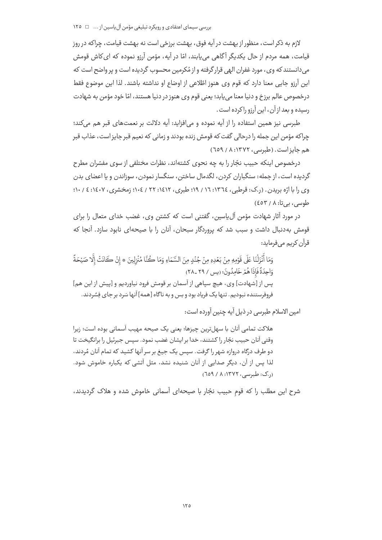لازم به ذکر است، منظور از بهشت در آیه فوق، بهشت برزخی است نه بهشت قیامت، چراکه در روز قیامت، همه مردم از حال یکدیگر آگاهی می،پابند، امّا در آیه، مؤمن آرزو نموده که ای کاش قومش می دانستند که وی، مورد غفران الهی قرار گرفته و از مُکرمین محسوب گردیده است و پر واضح است که این آرزو جایی معنا دارد که قوم وی هنوز اطّلاعی از اوضاع او نداشته باشند. لذا این موضوع فقط درخصوص عالم برزخ و دنیا معنا می یابد؛ یعنی قوم وی هنوز در دنیا هستند، امّا خود مؤمن به شهادت رسيده و بعد از آن، ابن آرزو را كرده است .

طبرسی نیز همین استفاده را از آیه نموده و می|فزاید: آیه دلالت بر نعمتهای قبر هم میکند؛ چراکه مؤمن این جمله را درحالی گفت که قومش زنده بودند و زمانی که نعیم قبر جایز است، عذاب قبر هم جايزاست. (طبرسي، ١٣٧٢: ٨ / ٦٥٩)

درخصوص اینکه حبیب نجّار را به چه نحوی کشتهاند، نظرات مختلفی از سوی مفسّران مطرح گردیده است، از جمله: سنگباران کردن، لگدمال ساختن، سنگسار نمودن، سوزاندن و یا اعضای بدن وی را با ارّه بریدن . (ر.ک: قرطبی، ١٣٦٤: ١٦ / ١٩؛ طبری، ١٤١٢: ٢٢ / ١٠٤: زمخشری، ١٤٠٧: ٤ / ١٠٠؛ طوسی، بی تا: ٤٥٣/ ٤٥٣)

در مورد آثار شهادت مؤمن آلuیاسین، گفتنی است که کشتن وی، غضب خدای متعال را برای قومش بهدنبال داشت و سبب شد که پروردگار سبحان، آنان را با صیحهای نابود سازد. آنجا که قرآن کریے مے فرماید:

وَمَا أَنْزَلْنَا عَلَى قَوْمِهِ مِنْ بَعْدِهِ مِنْ جُنْدٍ مِنَ السَّمَاءِ وَمَا كُنَّا مُنْزِلِينَ \* إِنْ كَانَتْ إِلَّا صَيْحَةً وَاحِدَةً فَاذَا هُمْرٌ خَامِدُونَ؛ (پس / ٢٩ ـ ٢٨) پس از [شهادت] وي، هيچ سپاهي از آسمان بر قومش فرود نياورديم و [پيش از اين هم] فروفرستنده نبودیم. تنها یک فریاد بود و بس و به ناگاه [همه] آنها سَرد بر جای فِسُردند.

امین الاسلام طبرسی در ذیل آیه چنین آورده است:

هلاكت تمامي آنان با سهل ترين چيزها؛ يعني يک صيحه مهيب آسماني بوده است؛ زيرا وقتي آنان حبيب نجّار را كشتند، خدا بر ايشان غضب نمود. سيس جبرئيل را برانگيخت تا دو طرف درگاه دروازه شهر را گرفت. سپس یک جیغ بر سر آنها کشید که تمام آنان مُردند، لذا پس از آن، دیگر صدایی از آنان شنیده نشد، مثل آتشی که یکباره خاموش شود.  $(709 / A.19YY, \ldots)$  (ر.ک: طبرسی)

شرح این مطلب را که قوم حبیب نجّار با صیحهای آسمانی خاموش شده و هلاک گردیدند،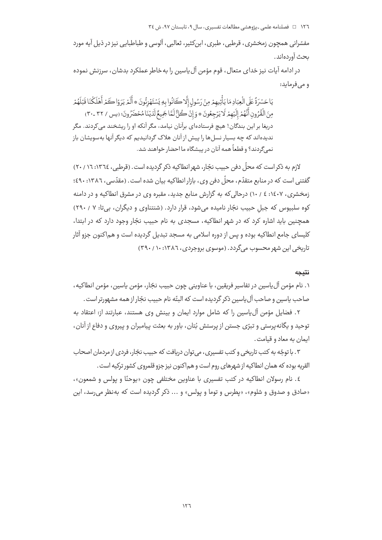١٢٦ = ه فصلنامه علمي - پژوهشي مطالعات تفسيري، سال ٩، تابستان ٩٧، ش ٣٤

مفسّرانی همچون زمخشری، قرطبی، طبری، ابنِکثیر، ثعالبی، آلوسی و طباطبایی نیز در ذیل آیه مورد بحث آوردهاند.

در ادامه آیات نیز خدای متعال، قوم مؤمن آل پاسین را به خاطر عملکرد بدشان، سرزنش نموده و مے فرماید:

يَاحَسْرَةً عَلَى الْعِبَادِ مَا يَأْتِيهِمْ مِنْ رَسُولِ إِلَّا كَانُوا بِهِ يَسْتَهْزِئُونَ \* أَلَمْ يَرَوْا كَمْر أَهْلَكْنَا قَبْلَهُمْ مِنَ الْقُرُونِ أَنَّهُمُ إِلَيْهِمْ لَا يَرْجِعُونَ \* وَإِنْ كُلُّ لَمَّاجَيِمُّ لَدَيْنَا مُحْضَرُونَ؛ (يس / ٣٢ -٣٠) دریغا بر این بندگان! هیچ فرستادهای برآنان نیامد، مگر آنکه او را ریشخند می کردند. مگر ندیدهاند که چه بسیار نسل ها را پیش از آنان هلاک گردانیدیم که دیگر آنها بهسویشان باز نميرً دند؟ و قطعاً همه آنان در پیشگاه ما احضار خواهند شد.

لازم به ذکر است که محلّ دفن حبیب نجّار، شهر انطاکیه ذکر گردیده است. (قرطبی، ١٣٦٤: ١٦ / ٢٠) گفتنی است که در منابع متقدّم، محلّ دفن وی، بازار انطاکیه بیان شده است. (مقدّسی، ۱۳۸۲: ٤٩٠؛ زمخشری، ۱٤٠٧: ٤ / ١٠) درحالي كه به گزارش منابع جديد، مقبره وي در مشرق انطاكيه و در دامنه کوه سلبیوس که جبل حبیب نجّار نامیده می شود، قرار دارد. (شنتناوی و دیگران، بی تا: ۷ / ۲۹۰) همحنین باید اشاره کرد که در شهر انطاکیه، مسحدی به نام حییب نحّار وجود دارد که در ایتدا، کلیسای جامع انطاکیه بوده و پس از دوره اسلامی به مسجد تبدیل گردیده است و هماکنون جزو آثار تاریخی این شهر محسوب می گردد. (موسوی بروجردی، ۱۳۸۲: ۲۹۰/۱۰)

نتىحە

١. نام مؤمن آلءاسين در تفاسير فريقين، با عناويني چون حبيب نجّار، مؤمن ياسين، مؤمن انطاكيه، صاحب یاسین و صاحب آل یاسین ذکر گردیده است که البتّه نام حبیب نجّار از همه مشهورتر است.

٢. فضايل مؤمن آل ياسين را كه شامل موارد ايمان و بينش وى هستند، عبارتند از: اعتقاد به توحید و یگانه پرستی و تبرّی جستن از پرستش بُتان، باور به بعثت پیامبران و پیروی و دفاع از آنان، ایمان به معاد و قیامت.

۰۳ با توجّه به کتب تاریخی و کتب تفسیری، می توان دریافت که حبیب نجّار، فردی از مردمان اصحاب " القریه بوده که همان انطاکیه از شهرهای روم است و هم|کنون نیز جزو قلمروی کشور ترکیه است.

٤. نام رسولان انطاكيه در كتب تفسيري با عناوين مختلفي چون «يوحنّا و يولس و شمعون»، «صادق و صدوق و شلوم»، «پطرس و توما و پولس» و ... ذکر گردیده است که بهنظر می رسد، این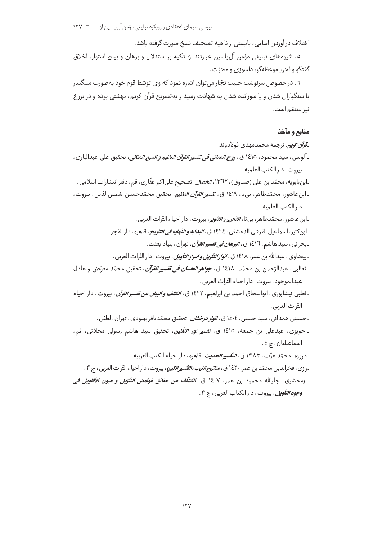اختلاف درآوردن اسامي، بايستي از ناحيه تصحيف نسخ صورت گرفته باشد.

٥. شیوههای تبلیغی مؤمن آلuیاسین عبارتند از: تکیه بر استدلال و برهان و بیان استوار، اخلاق گفتگو و لحن موعظهگر، دلسوزی و محنّت .

٦ . در خصوص سرنوشت حبيب نجّار مي توان اشاره نمود كه وي توسّط قوم خود به صورت سنگسار یا سنگباران شدن و یا سوزانده شدن به شهادت رسید و به تصریح قرآن کریم، بهشتی بوده و در برزخ نيز متنعّم است.

## منابع و مآخذ

ق*وآن کويم*، ترجمه محمدمهدي فولادوند

ـ آلوسي ، سيد محمود ، ١٤١٥ ق ، ر*وح المعاني في تفسير القرآن العظيم و السبع المثاني* ، تحقيق على عبدالباري ، بيروت، دار الكتب العلميه.

-ابن بابويه، محمّد بن علي (صدوق)، ١٣٦٢، *الخصال*، تصحيح علي|كبر غفّاري، ق<sub>م</sub>، دفتر انتشارات اسلامي.

ـ ابنعاشور، محمّدطاهر، بي¤ا، ١٤١٩ ق، *تفسير القرآن العظيم*، تحقيق محمّدحسين شمس|لدّين، بيروت، دار الكتب العلميه.

ـابنعاشور، محمّدطاهر، بي¤ا، *التّحريروالتّنوي*ر، بيروت، داراحياء التّراث العربي.

ـ ابن كثير، اسماعيل القرشي الدمشقي ، ١٤٢٤ ق ، *البدايه والنّهايه في التاريخ*، قاهره، دار الفجر.

ـ بحراني ، سيد هاشم ، ١٤١٦ ق *، البرهان في تفسير القرآن* ، تهران ، بنياد بعثت .

ـ بيضاوي ، عبدالله بن عمر ، ١٤١٨ ق ، *انوار التّنزيل و اسرار التّأويل* ، بيروت ، دار التّراث العربي .

- ـ ثعالبي ، عبدالرّحمن بن محمّد ، ١٤١٨ ق ، *جواهر الحسان في تفسير القرآن* ، تحقيق محمّد معوّض و عادل عبدالموجود ، بيروت ، دار احياء التّراث العربي .
- ـ ثعلبي نيشابوري، ابواسحاق احمد بن ابراهيم، ١٤٢٢ ق، ا*لكشف و البيان عن تفسير القرآن*، بيروت، دار احياء التّراث العربي.
	- ـ حسینی همدانی ، سید حسین ، ١٤٠٤ ق ، *انوار درخشان* ، تحقیق محمّدباقر بهبودی ، تهران ، لطفی .
- ـ حویزی، عبدعلی بن جمعه، ١٤١٥ ق، *تفسیر نور الثّقلین*، تحقیق سید هاشم رسولی محلاتی، قم، اسماعیلیان ، چ ٤.

ـ دروزه ، محمّد عزّت ، ١٣٨٣ ق ، *التّفسير الحديث* ، قاهره ، دار احياء الكتب العربيه .

- ۔ <sub>د</sub>ازی ، فخرالدین محمّد بن عمر، ۱۶۲۰ ق ، م*فاتیح الغیب (التّفسیر الکبیر)* ، بیروت ، دار احیاء التّراث العربی ، چ ۳ .
- ـ زمخشري، جارالله محمود بن عمر، ١٤٠٧ ق، *الكشّاف عن حقائق غوامض التّنزيل و عيون الأقاويل في وجوه التأويل*، بيروت، دار الكتاب العربي، چ ۳.